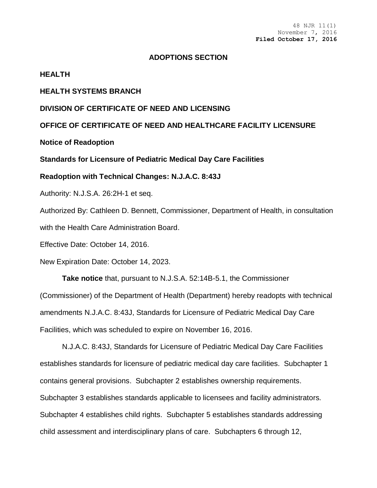#### **ADOPTIONS SECTION**

#### **HEALTH**

### **HEALTH SYSTEMS BRANCH**

## **DIVISION OF CERTIFICATE OF NEED AND LICENSING**

## **OFFICE OF CERTIFICATE OF NEED AND HEALTHCARE FACILITY LICENSURE**

**Notice of Readoption**

#### **Standards for Licensure of Pediatric Medical Day Care Facilities**

**Readoption with Technical Changes: N.J.A.C. 8:43J**

Authority: N.J.S.A. 26:2H-1 et seq.

Authorized By: Cathleen D. Bennett, Commissioner, Department of Health, in consultation with the Health Care Administration Board.

Effective Date: October 14, 2016.

New Expiration Date: October 14, 2023.

**Take notice** that, pursuant to N.J.S.A. 52:14B-5.1, the Commissioner (Commissioner) of the Department of Health (Department) hereby readopts with technical amendments N.J.A.C. 8:43J, Standards for Licensure of Pediatric Medical Day Care Facilities, which was scheduled to expire on November 16, 2016.

N.J.A.C. 8:43J, Standards for Licensure of Pediatric Medical Day Care Facilities establishes standards for licensure of pediatric medical day care facilities. Subchapter 1 contains general provisions. Subchapter 2 establishes ownership requirements. Subchapter 3 establishes standards applicable to licensees and facility administrators. Subchapter 4 establishes child rights. Subchapter 5 establishes standards addressing child assessment and interdisciplinary plans of care. Subchapters 6 through 12,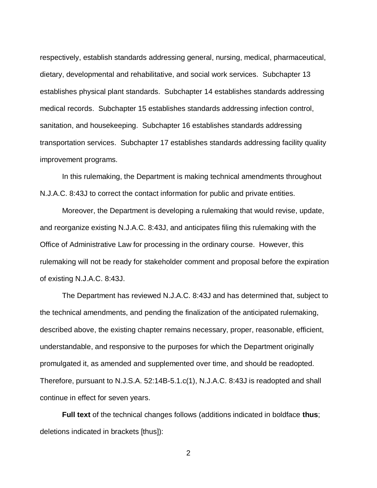respectively, establish standards addressing general, nursing, medical, pharmaceutical, dietary, developmental and rehabilitative, and social work services. Subchapter 13 establishes physical plant standards. Subchapter 14 establishes standards addressing medical records. Subchapter 15 establishes standards addressing infection control, sanitation, and housekeeping. Subchapter 16 establishes standards addressing transportation services. Subchapter 17 establishes standards addressing facility quality improvement programs.

In this rulemaking, the Department is making technical amendments throughout N.J.A.C. 8:43J to correct the contact information for public and private entities.

Moreover, the Department is developing a rulemaking that would revise, update, and reorganize existing N.J.A.C. 8:43J, and anticipates filing this rulemaking with the Office of Administrative Law for processing in the ordinary course. However, this rulemaking will not be ready for stakeholder comment and proposal before the expiration of existing N.J.A.C. 8:43J.

The Department has reviewed N.J.A.C. 8:43J and has determined that, subject to the technical amendments, and pending the finalization of the anticipated rulemaking, described above, the existing chapter remains necessary, proper, reasonable, efficient, understandable, and responsive to the purposes for which the Department originally promulgated it, as amended and supplemented over time, and should be readopted. Therefore, pursuant to N.J.S.A. 52:14B-5.1.c(1), N.J.A.C. 8:43J is readopted and shall continue in effect for seven years.

**Full text** of the technical changes follows (additions indicated in boldface **thus**; deletions indicated in brackets [thus]):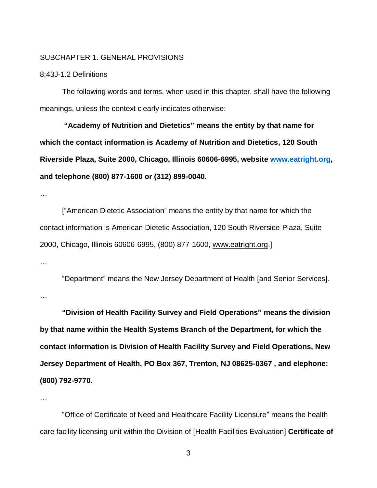#### SUBCHAPTER 1. GENERAL PROVISIONS

## 8:43J-1.2 Definitions

The following words and terms, when used in this chapter, shall have the following meanings, unless the context clearly indicates otherwise:

**"Academy of Nutrition and Dietetics" means the entity by that name for which the contact information is Academy of Nutrition and Dietetics, 120 South Riverside Plaza, Suite 2000, Chicago, Illinois 60606-6995, website [www.eatright.org,](http://www.eatright.org/) and telephone (800) 877-1600 or (312) 899-0040.**

…

["American Dietetic Association" means the entity by that name for which the contact information is American Dietetic Association, 120 South Riverside Plaza, Suite 2000, Chicago, Illinois 60606-6995, (800) 877-1600, [www.eatright.org.](http://www.eatright.org/)]

…

…

"Department" means the New Jersey Department of Health [and Senior Services].

**"Division of Health Facility Survey and Field Operations" means the division by that name within the Health Systems Branch of the Department, for which the contact information is Division of Health Facility Survey and Field Operations, New Jersey Department of Health, PO Box 367, Trenton, NJ 08625-0367 , and elephone: (800) 792-9770.**

…

"Office of Certificate of Need and Healthcare Facility Licensure" means the health care facility licensing unit within the Division of [Health Facilities Evaluation] **Certificate of**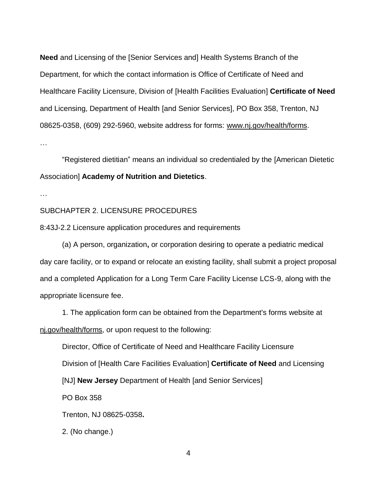**Need** and Licensing of the [Senior Services and] Health Systems Branch of the Department, for which the contact information is Office of Certificate of Need and Healthcare Facility Licensure, Division of [Health Facilities Evaluation] **Certificate of Need** and Licensing, Department of Health [and Senior Services], PO Box 358, Trenton, NJ 08625-0358, (609) 292-5960, website address for forms: [www.nj.gov/health/forms.](http://www.nj.gov/health/forms)

…

"Registered dietitian" means an individual so credentialed by the [American Dietetic Association] **Academy of Nutrition and Dietetics**.

…

#### SUBCHAPTER 2. LICENSURE PROCEDURES

8:43J-2.2 Licensure application procedures and requirements

(a) A person, organization**,** or corporation desiring to operate a pediatric medical day care facility, or to expand or relocate an existing facility, shall submit a project proposal and a completed Application for a Long Term Care Facility License LCS-9, along with the appropriate licensure fee.

1. The application form can be obtained from the Department's forms website at nj.gov/health/forms, or upon request to the following:

Director, Office of Certificate of Need and Healthcare Facility Licensure Division of [Health Care Facilities Evaluation] **Certificate of Need** and Licensing [NJ] **New Jersey** Department of Health [and Senior Services] PO Box 358 Trenton, NJ 08625-0358**.** 2. (No change.)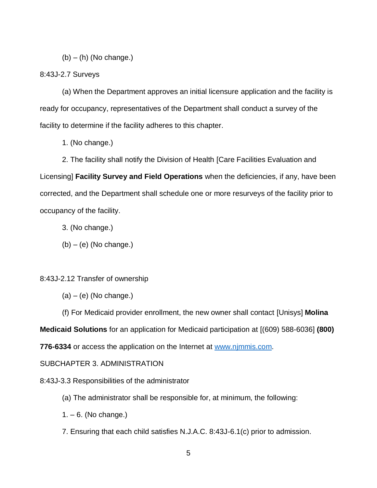$(b) - (h)$  (No change.)

# 8:43J-2.7 Surveys

(a) When the Department approves an initial licensure application and the facility is ready for occupancy, representatives of the Department shall conduct a survey of the facility to determine if the facility adheres to this chapter.

1. (No change.)

2. The facility shall notify the Division of Health [Care Facilities Evaluation and Licensing] **Facility Survey and Field Operations** when the deficiencies, if any, have been corrected, and the Department shall schedule one or more resurveys of the facility prior to occupancy of the facility.

- 3. (No change.)
- $(b) (e)$  (No change.)

8:43J-2.12 Transfer of ownership

 $(a) - (e)$  (No change.)

(f) For Medicaid provider enrollment, the new owner shall contact [Unisys] **Molina** 

**Medicaid Solutions** for an application for Medicaid participation at [(609) 588-6036] **(800)** 

**776-6334** or access the application on the Internet at [www.njmmis.com.](http://www.njmmis.com/)

SUBCHAPTER 3. ADMINISTRATION

8:43J-3.3 Responsibilities of the administrator

- (a) The administrator shall be responsible for, at minimum, the following:
- $1. 6.$  (No change.)
- 7. Ensuring that each child satisfies N.J.A.C. 8:43J-6.1(c) prior to admission.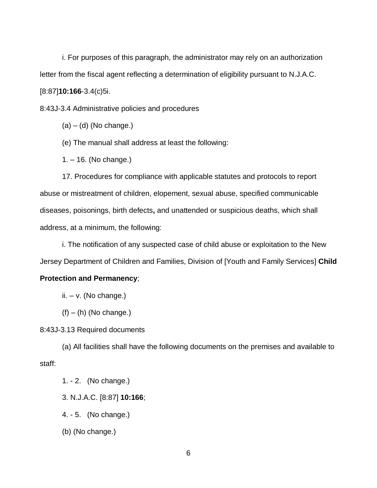i. For purposes of this paragraph, the administrator may rely on an authorization letter from the fiscal agent reflecting a determination of eligibility pursuant to N.J.A.C. [8:87]**10:166**-3.4(c)5i.

8:43J-3.4 Administrative policies and procedures

 $(a) - (d)$  (No change.)

(e) The manual shall address at least the following:

1. – 16. (No change.)

17. Procedures for compliance with applicable statutes and protocols to report abuse or mistreatment of children, elopement, sexual abuse, specified communicable diseases, poisonings, birth defects**,** and unattended or suspicious deaths, which shall address, at a minimum, the following:

i. The notification of any suspected case of child abuse or exploitation to the New Jersey Department of Children and Families, Division of [Youth and Family Services] **Child** 

# **Protection and Permanency**;

 $ii. -v.$  (No change.)

 $(f) - (h)$  (No change.)

8:43J-3.13 Required documents

(a) All facilities shall have the following documents on the premises and available to staff:

1. - 2. (No change.)

3. N.J.A.C. [8:87] **10:166**;

4. - 5. (No change.)

(b) (No change.)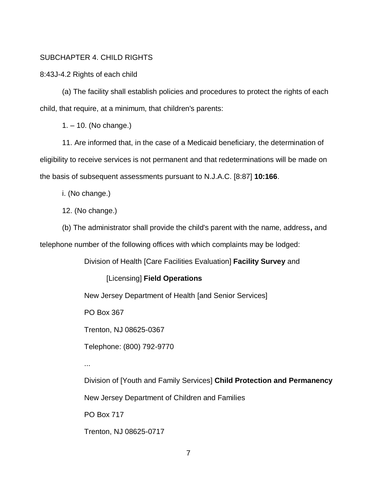# SUBCHAPTER 4. CHILD RIGHTS

8:43J-4.2 Rights of each child

(a) The facility shall establish policies and procedures to protect the rights of each child, that require, at a minimum, that children's parents:

1. – 10. (No change.)

11. Are informed that, in the case of a Medicaid beneficiary, the determination of eligibility to receive services is not permanent and that redeterminations will be made on the basis of subsequent assessments pursuant to N.J.A.C. [8:87] **10:166**.

i. (No change.)

12. (No change.)

(b) The administrator shall provide the child's parent with the name, address**,** and telephone number of the following offices with which complaints may be lodged:

Division of Health [Care Facilities Evaluation] **Facility Survey** and

[Licensing] **Field Operations**

New Jersey Department of Health [and Senior Services]

PO Box 367

Trenton, NJ 08625-0367

Telephone: (800) 792-9770

...

Division of [Youth and Family Services] **Child Protection and Permanency**

New Jersey Department of Children and Families

PO Box 717

Trenton, NJ 08625-0717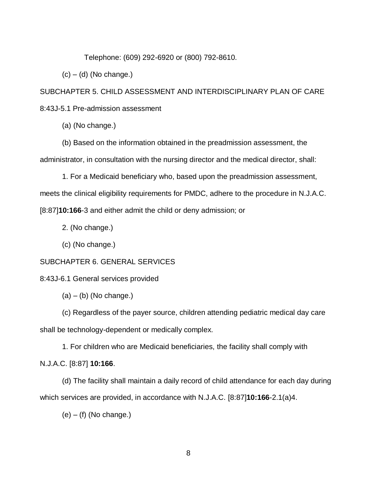Telephone: (609) 292-6920 or (800) 792-8610.

 $(c) - (d)$  (No change.)

SUBCHAPTER 5. CHILD ASSESSMENT AND INTERDISCIPLINARY PLAN OF CARE 8:43J-5.1 Pre-admission assessment

(a) (No change.)

(b) Based on the information obtained in the preadmission assessment, the administrator, in consultation with the nursing director and the medical director, shall:

1. For a Medicaid beneficiary who, based upon the preadmission assessment,

meets the clinical eligibility requirements for PMDC, adhere to the procedure in N.J.A.C.

[8:87]**10:166**-3 and either admit the child or deny admission; or

2. (No change.)

(c) (No change.)

# SUBCHAPTER 6. GENERAL SERVICES

8:43J-6.1 General services provided

 $(a) - (b)$  (No change.)

(c) Regardless of the payer source, children attending pediatric medical day care shall be technology-dependent or medically complex.

1. For children who are Medicaid beneficiaries, the facility shall comply with N.J.A.C. [8:87] **10:166**.

(d) The facility shall maintain a daily record of child attendance for each day during which services are provided, in accordance with N.J.A.C. [8:87]**10:166**-2.1(a)4.

 $(e) - (f)$  (No change.)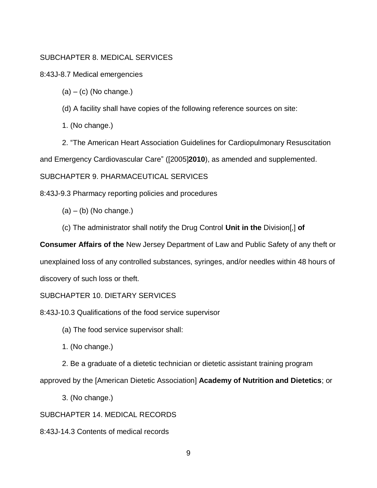# SUBCHAPTER 8. MEDICAL SERVICES

8:43J-8.7 Medical emergencies

 $(a) - (c)$  (No change.)

(d) A facility shall have copies of the following reference sources on site:

1. (No change.)

2. "The American Heart Association Guidelines for Cardiopulmonary Resuscitation and Emergency Cardiovascular Care" ([2005]**2010**), as amended and supplemented.

SUBCHAPTER 9. PHARMACEUTICAL SERVICES

8:43J-9.3 Pharmacy reporting policies and procedures

 $(a) - (b)$  (No change.)

(c) The administrator shall notify the Drug Control **Unit in the** Division[,] **of** 

**Consumer Affairs of the** New Jersey Department of Law and Public Safety of any theft or unexplained loss of any controlled substances, syringes, and/or needles within 48 hours of discovery of such loss or theft.

# SUBCHAPTER 10. DIETARY SERVICES

8:43J-10.3 Qualifications of the food service supervisor

(a) The food service supervisor shall:

1. (No change.)

2. Be a graduate of a dietetic technician or dietetic assistant training program

approved by the [American Dietetic Association] **Academy of Nutrition and Dietetics**; or

3. (No change.)

SUBCHAPTER 14. MEDICAL RECORDS

8:43J-14.3 Contents of medical records